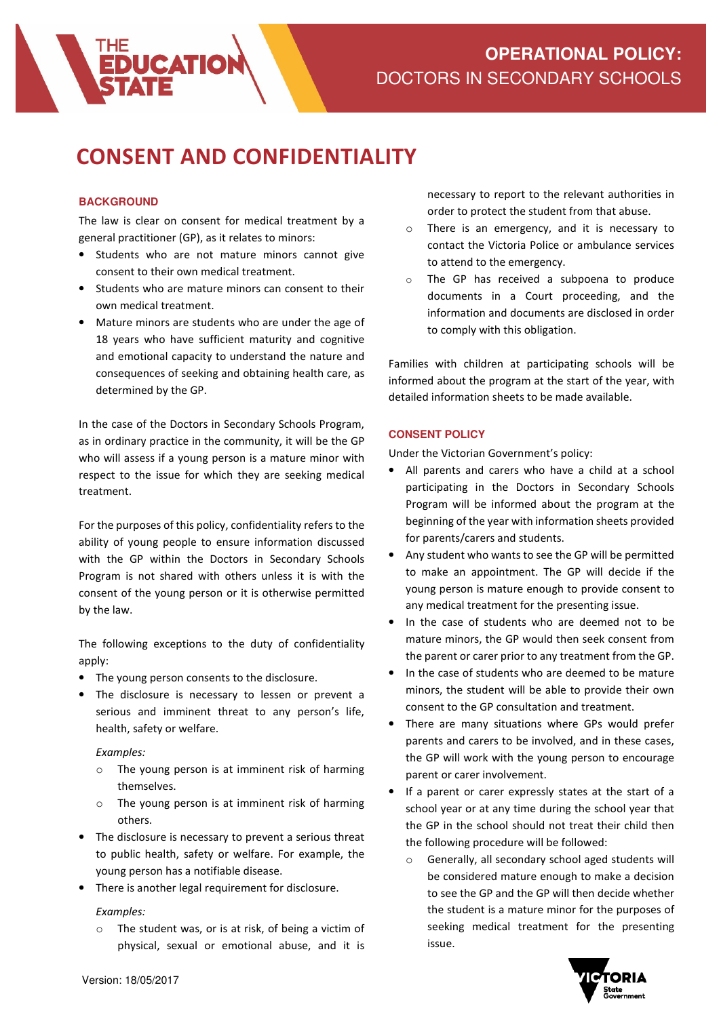# CONSENT AND CONFIDENTIALITY **SCHOOLS AND SECONDARY SCHOOLS AND SECURE**

# **BACKGROUND**

**EDUCATION** 

The law is clear on consent for medical treatment by a general practitioner (GP), as it relates to minors:

- Students who are not mature minors cannot give consent to their own medical treatment.
- Students who are mature minors can consent to their own medical treatment.
- Mature minors are students who are under the age of 18 years who have sufficient maturity and cognitive and emotional capacity to understand the nature and consequences of seeking and obtaining health care, as determined by the GP.

In the case of the Doctors in Secondary Schools Program, as in ordinary practice in the community, it will be the GP who will assess if a young person is a mature minor with respect to the issue for which they are seeking medical treatment.

For the purposes of this policy, confidentiality refers to the ability of young people to ensure information discussed with the GP within the Doctors in Secondary Schools Program is not shared with others unless it is with the consent of the young person or it is otherwise permitted by the law.

The following exceptions to the duty of confidentiality apply:

- The young person consents to the disclosure.
- The disclosure is necessary to lessen or prevent a serious and imminent threat to any person's life, health, safety or welfare.

#### Examples:

- o The young person is at imminent risk of harming themselves.
- o The young person is at imminent risk of harming others.
- The disclosure is necessary to prevent a serious threat to public health, safety or welfare. For example, the young person has a notifiable disease.
- There is another legal requirement for disclosure.

#### Examples:

o The student was, or is at risk, of being a victim of physical, sexual or emotional abuse, and it is

necessary to report to the relevant authorities in order to protect the student from that abuse.

- o There is an emergency, and it is necessary to contact the Victoria Police or ambulance services to attend to the emergency.
- o The GP has received a subpoena to produce documents in a Court proceeding, and the information and documents are disclosed in order to comply with this obligation.

Families with children at participating schools will be informed about the program at the start of the year, with detailed information sheets to be made available.

## **CONSENT POLICY**

Under the Victorian Government's policy:

- All parents and carers who have a child at a school participating in the Doctors in Secondary Schools Program will be informed about the program at the beginning of the year with information sheets provided for parents/carers and students.
- Any student who wants to see the GP will be permitted to make an appointment. The GP will decide if the young person is mature enough to provide consent to any medical treatment for the presenting issue.
- In the case of students who are deemed not to be mature minors, the GP would then seek consent from the parent or carer prior to any treatment from the GP.
- In the case of students who are deemed to be mature minors, the student will be able to provide their own consent to the GP consultation and treatment.
- There are many situations where GPs would prefer parents and carers to be involved, and in these cases, the GP will work with the young person to encourage parent or carer involvement.
- If a parent or carer expressly states at the start of a school year or at any time during the school year that the GP in the school should not treat their child then the following procedure will be followed:
	- o Generally, all secondary school aged students will be considered mature enough to make a decision to see the GP and the GP will then decide whether the student is a mature minor for the purposes of seeking medical treatment for the presenting issue.